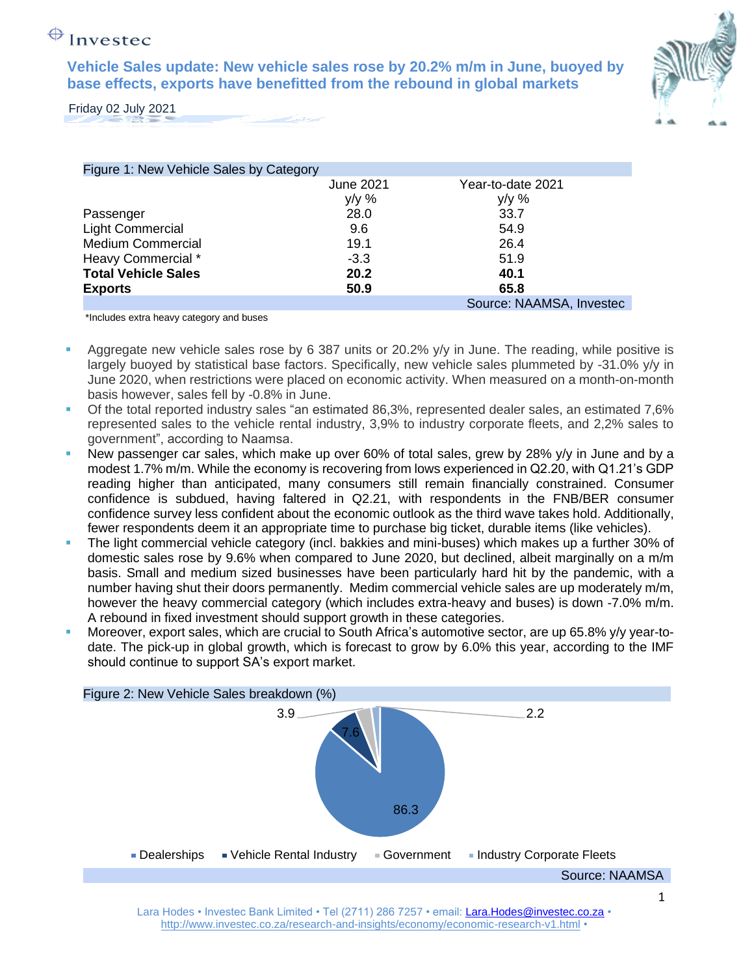## $\bigoplus$  Investec

**Vehicle Sales update: New vehicle sales rose by 20.2% m/m in June, buoyed by base effects, exports have benefitted from the rebound in global markets**



Friday 02 July 2021

| Figure 1: New Vehicle Sales by Category |                  |                          |
|-----------------------------------------|------------------|--------------------------|
|                                         | <b>June 2021</b> | Year-to-date 2021        |
|                                         | $y/y$ %          | $y/y \%$                 |
| Passenger                               | 28.0             | 33.7                     |
| <b>Light Commercial</b>                 | 9.6              | 54.9                     |
| <b>Medium Commercial</b>                | 19.1             | 26.4                     |
| Heavy Commercial *                      | $-3.3$           | 51.9                     |
| <b>Total Vehicle Sales</b>              | 20.2             | 40.1                     |
| <b>Exports</b>                          | 50.9             | 65.8                     |
|                                         |                  | Source: NAAMSA, Investec |

\*Includes extra heavy category and buses

- Aggregate new vehicle sales rose by 6 387 units or 20.2% y/y in June. The reading, while positive is largely buoyed by statistical base factors. Specifically, new vehicle sales plummeted by -31.0% y/y in June 2020, when restrictions were placed on economic activity. When measured on a month-on-month basis however, sales fell by -0.8% in June.
- Of the total reported industry sales "an estimated 86,3%, represented dealer sales, an estimated 7,6% represented sales to the vehicle rental industry, 3,9% to industry corporate fleets, and 2,2% sales to government", according to Naamsa.
- New passenger car sales, which make up over 60% of total sales, grew by 28% y/y in June and by a modest 1.7% m/m. While the economy is recovering from lows experienced in Q2.20, with Q1.21's GDP reading higher than anticipated, many consumers still remain financially constrained. Consumer confidence is subdued, having faltered in Q2.21, with respondents in the FNB/BER consumer confidence survey less confident about the economic outlook as the third wave takes hold. Additionally, fewer respondents deem it an appropriate time to purchase big ticket, durable items (like vehicles).
- The light commercial vehicle category (incl. bakkies and mini-buses) which makes up a further 30% of domestic sales rose by 9.6% when compared to June 2020, but declined, albeit marginally on a m/m basis. Small and medium sized businesses have been particularly hard hit by the pandemic, with a number having shut their doors permanently. Medim commercial vehicle sales are up moderately m/m, however the heavy commercial category (which includes extra-heavy and buses) is down -7.0% m/m. A rebound in fixed investment should support growth in these categories.
- Moreover, export sales, which are crucial to South Africa's automotive sector, are up 65.8% y/y year-todate. The pick-up in global growth, which is forecast to grow by 6.0% this year, according to the IMF should continue to support SA's export market.

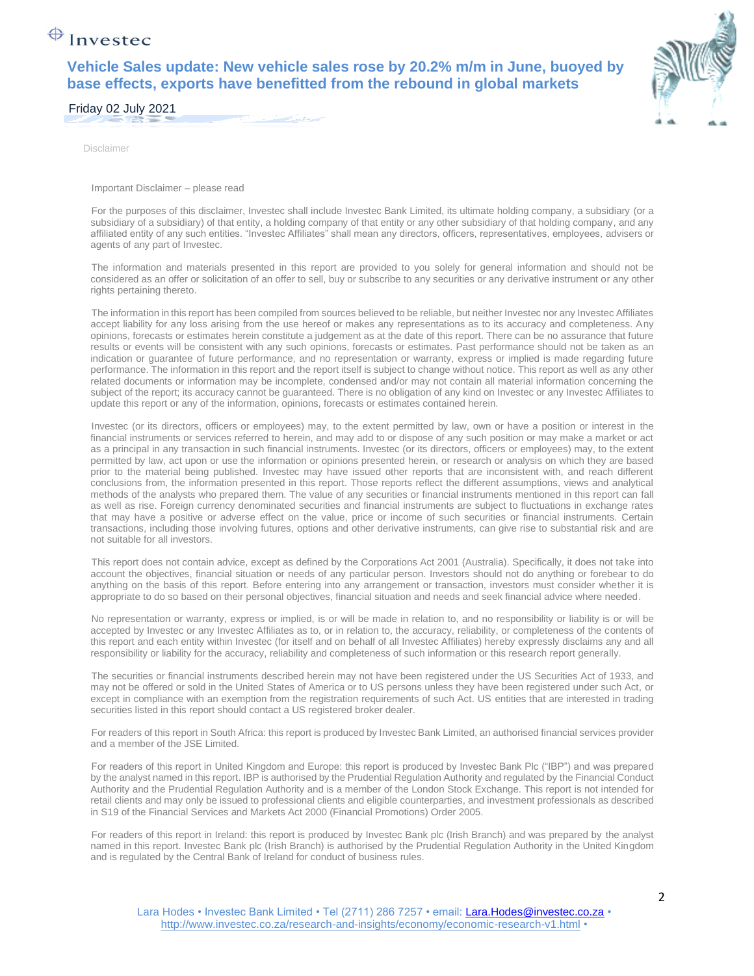## $\bigoplus$  Investec

**Vehicle Sales update: New vehicle sales rose by 20.2% m/m in June, buoyed by base effects, exports have benefitted from the rebound in global markets**



Friday 02 July 2021

Disclaimer

Important Disclaimer – please read

For the purposes of this disclaimer, Investec shall include Investec Bank Limited, its ultimate holding company, a subsidiary (or a subsidiary of a subsidiary) of that entity, a holding company of that entity or any other subsidiary of that holding company, and any affiliated entity of any such entities. "Investec Affiliates" shall mean any directors, officers, representatives, employees, advisers or agents of any part of Investec.

The information and materials presented in this report are provided to you solely for general information and should not be considered as an offer or solicitation of an offer to sell, buy or subscribe to any securities or any derivative instrument or any other rights pertaining thereto.

The information in this report has been compiled from sources believed to be reliable, but neither Investec nor any Investec Affiliates accept liability for any loss arising from the use hereof or makes any representations as to its accuracy and completeness. Any opinions, forecasts or estimates herein constitute a judgement as at the date of this report. There can be no assurance that future results or events will be consistent with any such opinions, forecasts or estimates. Past performance should not be taken as an indication or guarantee of future performance, and no representation or warranty, express or implied is made regarding future performance. The information in this report and the report itself is subject to change without notice. This report as well as any other related documents or information may be incomplete, condensed and/or may not contain all material information concerning the subject of the report; its accuracy cannot be guaranteed. There is no obligation of any kind on Investec or any Investec Affiliates to update this report or any of the information, opinions, forecasts or estimates contained herein.

Investec (or its directors, officers or employees) may, to the extent permitted by law, own or have a position or interest in the financial instruments or services referred to herein, and may add to or dispose of any such position or may make a market or act as a principal in any transaction in such financial instruments. Investec (or its directors, officers or employees) may, to the extent permitted by law, act upon or use the information or opinions presented herein, or research or analysis on which they are based prior to the material being published. Investec may have issued other reports that are inconsistent with, and reach different conclusions from, the information presented in this report. Those reports reflect the different assumptions, views and analytical methods of the analysts who prepared them. The value of any securities or financial instruments mentioned in this report can fall as well as rise. Foreign currency denominated securities and financial instruments are subject to fluctuations in exchange rates that may have a positive or adverse effect on the value, price or income of such securities or financial instruments. Certain transactions, including those involving futures, options and other derivative instruments, can give rise to substantial risk and are not suitable for all investors.

This report does not contain advice, except as defined by the Corporations Act 2001 (Australia). Specifically, it does not take into account the objectives, financial situation or needs of any particular person. Investors should not do anything or forebear to do anything on the basis of this report. Before entering into any arrangement or transaction, investors must consider whether it is appropriate to do so based on their personal objectives, financial situation and needs and seek financial advice where needed.

No representation or warranty, express or implied, is or will be made in relation to, and no responsibility or liability is or will be accepted by Investec or any Investec Affiliates as to, or in relation to, the accuracy, reliability, or completeness of the contents of this report and each entity within Investec (for itself and on behalf of all Investec Affiliates) hereby expressly disclaims any and all responsibility or liability for the accuracy, reliability and completeness of such information or this research report generally.

The securities or financial instruments described herein may not have been registered under the US Securities Act of 1933, and may not be offered or sold in the United States of America or to US persons unless they have been registered under such Act, or except in compliance with an exemption from the registration requirements of such Act. US entities that are interested in trading securities listed in this report should contact a US registered broker dealer.

For readers of this report in South Africa: this report is produced by Investec Bank Limited, an authorised financial services provider and a member of the JSE Limited.

For readers of this report in United Kingdom and Europe: this report is produced by Investec Bank Plc ("IBP") and was prepared by the analyst named in this report. IBP is authorised by the Prudential Regulation Authority and regulated by the Financial Conduct Authority and the Prudential Regulation Authority and is a member of the London Stock Exchange. This report is not intended for retail clients and may only be issued to professional clients and eligible counterparties, and investment professionals as described in S19 of the Financial Services and Markets Act 2000 (Financial Promotions) Order 2005.

For readers of this report in Ireland: this report is produced by Investec Bank plc (Irish Branch) and was prepared by the analyst named in this report. Investec Bank plc (Irish Branch) is authorised by the Prudential Regulation Authority in the United Kingdom and is regulated by the Central Bank of Ireland for conduct of business rules.